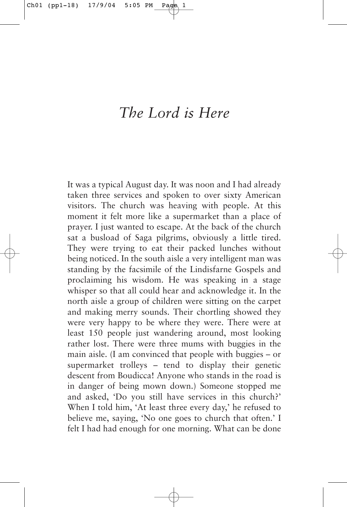## *The Lord is Here*

It was a typical August day. It was noon and I had already taken three services and spoken to over sixty American visitors. The church was heaving with people. At this moment it felt more like a supermarket than a place of prayer. I just wanted to escape. At the back of the church sat a busload of Saga pilgrims, obviously a little tired. They were trying to eat their packed lunches without being noticed. In the south aisle a very intelligent man was standing by the facsimile of the Lindisfarne Gospels and proclaiming his wisdom. He was speaking in a stage whisper so that all could hear and acknowledge it. In the north aisle a group of children were sitting on the carpet and making merry sounds. Their chortling showed they were very happy to be where they were. There were at least 150 people just wandering around, most looking rather lost. There were three mums with buggies in the main aisle. (I am convinced that people with buggies – or supermarket trolleys – tend to display their genetic descent from Boudicca! Anyone who stands in the road is in danger of being mown down.) Someone stopped me and asked, 'Do you still have services in this church?' When I told him, 'At least three every day,' he refused to believe me, saying, 'No one goes to church that often.' I felt I had had enough for one morning. What can be done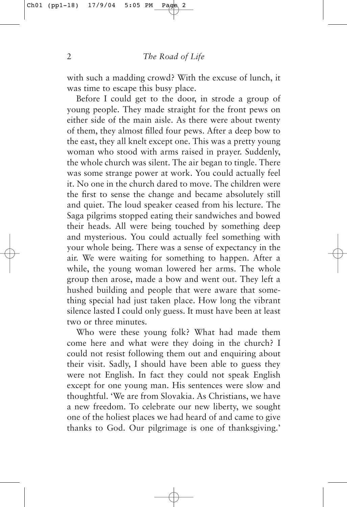with such a madding crowd? With the excuse of lunch, it was time to escape this busy place.

Before I could get to the door, in strode a group of young people. They made straight for the front pews on either side of the main aisle. As there were about twenty of them, they almost filled four pews. After a deep bow to the east, they all knelt except one. This was a pretty young woman who stood with arms raised in prayer. Suddenly, the whole church was silent. The air began to tingle. There was some strange power at work. You could actually feel it. No one in the church dared to move. The children were the first to sense the change and became absolutely still and quiet. The loud speaker ceased from his lecture. The Saga pilgrims stopped eating their sandwiches and bowed their heads. All were being touched by something deep and mysterious. You could actually feel something with your whole being. There was a sense of expectancy in the air. We were waiting for something to happen. After a while, the young woman lowered her arms. The whole group then arose, made a bow and went out. They left a hushed building and people that were aware that something special had just taken place. How long the vibrant silence lasted I could only guess. It must have been at least two or three minutes.

Who were these young folk? What had made them come here and what were they doing in the church? I could not resist following them out and enquiring about their visit. Sadly, I should have been able to guess they were not English. In fact they could not speak English except for one young man. His sentences were slow and thoughtful. 'We are from Slovakia. As Christians, we have a new freedom. To celebrate our new liberty, we sought one of the holiest places we had heard of and came to give thanks to God. Our pilgrimage is one of thanksgiving.'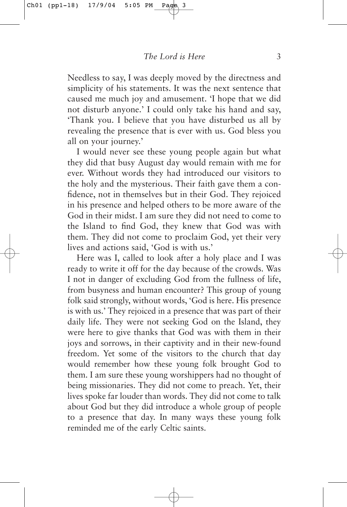Needless to say, I was deeply moved by the directness and simplicity of his statements. It was the next sentence that caused me much joy and amusement. 'I hope that we did not disturb anyone.' I could only take his hand and say, 'Thank you. I believe that you have disturbed us all by revealing the presence that is ever with us. God bless you all on your journey.'

I would never see these young people again but what they did that busy August day would remain with me for ever. Without words they had introduced our visitors to the holy and the mysterious. Their faith gave them a confidence, not in themselves but in their God. They rejoiced in his presence and helped others to be more aware of the God in their midst. I am sure they did not need to come to the Island to find God, they knew that God was with them. They did not come to proclaim God, yet their very lives and actions said, 'God is with us.'

Here was I, called to look after a holy place and I was ready to write it off for the day because of the crowds. Was I not in danger of excluding God from the fullness of life, from busyness and human encounter? This group of young folk said strongly, without words, 'God is here. His presence is with us.' They rejoiced in a presence that was part of their daily life. They were not seeking God on the Island, they were here to give thanks that God was with them in their joys and sorrows, in their captivity and in their new-found freedom. Yet some of the visitors to the church that day would remember how these young folk brought God to them. I am sure these young worshippers had no thought of being missionaries. They did not come to preach. Yet, their lives spoke far louder than words. They did not come to talk about God but they did introduce a whole group of people to a presence that day. In many ways these young folk reminded me of the early Celtic saints.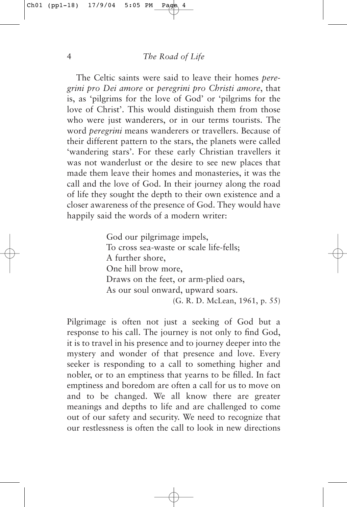The Celtic saints were said to leave their homes *peregrini pro Dei amore* or *peregrini pro Christi amore*, that is, as 'pilgrims for the love of God' or 'pilgrims for the love of Christ'. This would distinguish them from those who were just wanderers, or in our terms tourists. The word *peregrini* means wanderers or travellers. Because of their different pattern to the stars, the planets were called 'wandering stars'. For these early Christian travellers it was not wanderlust or the desire to see new places that made them leave their homes and monasteries, it was the call and the love of God. In their journey along the road of life they sought the depth to their own existence and a closer awareness of the presence of God. They would have happily said the words of a modern writer:

> God our pilgrimage impels, To cross sea-waste or scale life-fells; A further shore, One hill brow more, Draws on the feet, or arm-plied oars, As our soul onward, upward soars. (G. R. D. McLean, 1961, p. 55)

Pilgrimage is often not just a seeking of God but a response to his call. The journey is not only to find God, it is to travel in his presence and to journey deeper into the mystery and wonder of that presence and love. Every seeker is responding to a call to something higher and nobler, or to an emptiness that yearns to be filled. In fact emptiness and boredom are often a call for us to move on and to be changed. We all know there are greater meanings and depths to life and are challenged to come out of our safety and security. We need to recognize that our restlessness is often the call to look in new directions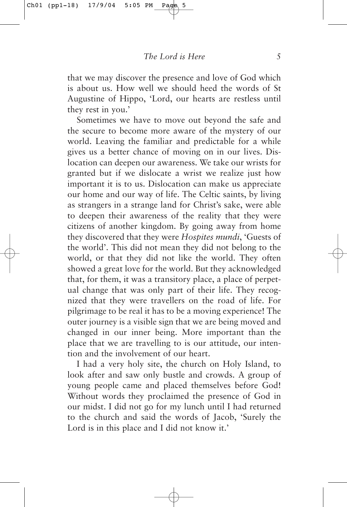that we may discover the presence and love of God which is about us. How well we should heed the words of St Augustine of Hippo, 'Lord, our hearts are restless until they rest in you.'

Sometimes we have to move out beyond the safe and the secure to become more aware of the mystery of our world. Leaving the familiar and predictable for a while gives us a better chance of moving on in our lives. Dislocation can deepen our awareness. We take our wrists for granted but if we dislocate a wrist we realize just how important it is to us. Dislocation can make us appreciate our home and our way of life. The Celtic saints, by living as strangers in a strange land for Christ's sake, were able to deepen their awareness of the reality that they were citizens of another kingdom. By going away from home they discovered that they were *Hospites mundi*, 'Guests of the world'. This did not mean they did not belong to the world, or that they did not like the world. They often showed a great love for the world. But they acknowledged that, for them, it was a transitory place, a place of perpetual change that was only part of their life. They recognized that they were travellers on the road of life. For pilgrimage to be real it has to be a moving experience! The outer journey is a visible sign that we are being moved and changed in our inner being. More important than the place that we are travelling to is our attitude, our intention and the involvement of our heart.

I had a very holy site, the church on Holy Island, to look after and saw only bustle and crowds. A group of young people came and placed themselves before God! Without words they proclaimed the presence of God in our midst. I did not go for my lunch until I had returned to the church and said the words of Jacob, 'Surely the Lord is in this place and I did not know it.'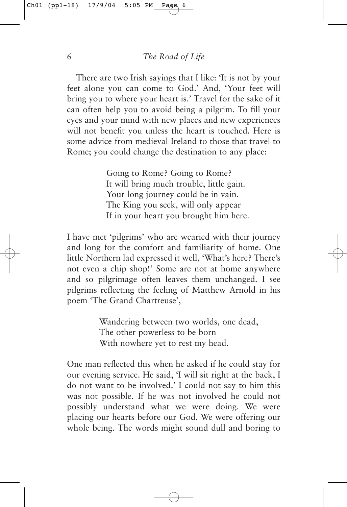There are two Irish sayings that I like: 'It is not by your feet alone you can come to God.' And, 'Your feet will bring you to where your heart is.' Travel for the sake of it can often help you to avoid being a pilgrim. To fill your eyes and your mind with new places and new experiences will not benefit you unless the heart is touched. Here is some advice from medieval Ireland to those that travel to Rome; you could change the destination to any place:

> Going to Rome? Going to Rome? It will bring much trouble, little gain. Your long journey could be in vain. The King you seek, will only appear If in your heart you brought him here.

I have met 'pilgrims' who are wearied with their journey and long for the comfort and familiarity of home. One little Northern lad expressed it well, 'What's here? There's not even a chip shop!' Some are not at home anywhere and so pilgrimage often leaves them unchanged. I see pilgrims reflecting the feeling of Matthew Arnold in his poem 'The Grand Chartreuse',

> Wandering between two worlds, one dead, The other powerless to be born With nowhere yet to rest my head.

One man reflected this when he asked if he could stay for our evening service. He said, 'I will sit right at the back, I do not want to be involved.' I could not say to him this was not possible. If he was not involved he could not possibly understand what we were doing. We were placing our hearts before our God. We were offering our whole being. The words might sound dull and boring to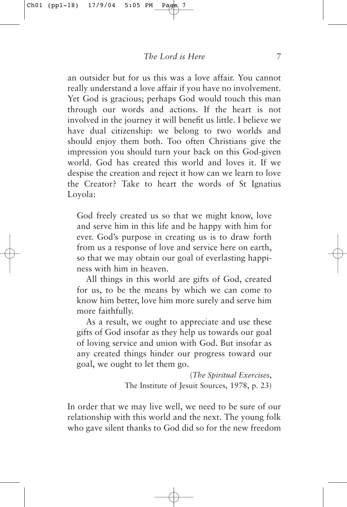an outsider but for us this was a love affair. You cannot really understand a love affair if you have no involvement. Yet God is gracious; perhaps God would touch this man through our words and actions. If the heart is not involved in the journey it will benefit us little. I believe we have dual citizenship: we belong to two worlds and should enjoy them both. Too often Christians give the impression you should turn your back on this God-given world. God has created this world and loves it. If we despise the creation and reject it how can we learn to love the Creator? Take to heart the words of St Ignatius Loyola:

God freely created us so that we might know, love and serve him in this life and be happy with him for ever. God's purpose in creating us is to draw forth from us a response of love and service here on earth, so that we may obtain our goal of everlasting happiness with him in heaven.

All things in this world are gifts of God, created for us, to be the means by which we can come to know him better, love him more surely and serve him more faithfully.

As a result, we ought to appreciate and use these gifts of God insofar as they help us towards our goal of loving service and union with God. But insofar as any created things hinder our progress toward our goal, we ought to let them go.

(*The Spiritual Exercises*,

The Institute of Jesuit Sources, 1978, p. 23)

In order that we may live well, we need to be sure of our relationship with this world and the next. The young folk who gave silent thanks to God did so for the new freedom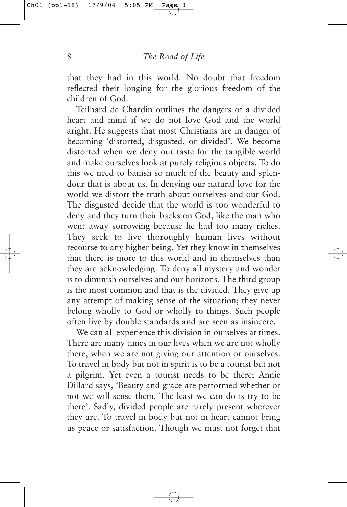that they had in this world. No doubt that freedom reflected their longing for the glorious freedom of the children of God.

Teilhard de Chardin outlines the dangers of a divided heart and mind if we do not love God and the world aright. He suggests that most Christians are in danger of becoming 'distorted, disgusted, or divided'. We become distorted when we deny our taste for the tangible world and make ourselves look at purely religious objects. To do this we need to banish so much of the beauty and splendour that is about us. In denying our natural love for the world we distort the truth about ourselves and our God. The disgusted decide that the world is too wonderful to deny and they turn their backs on God, like the man who went away sorrowing because he had too many riches. They seek to live thoroughly human lives without recourse to any higher being. Yet they know in themselves that there is more to this world and in themselves than they are acknowledging. To deny all mystery and wonder is to diminish ourselves and our horizons. The third group is the most common and that is the divided. They give up any attempt of making sense of the situation; they never belong wholly to God or wholly to things. Such people often live by double standards and are seen as insincere.

We can all experience this division in ourselves at times. There are many times in our lives when we are not wholly there, when we are not giving our attention or ourselves. To travel in body but not in spirit is to be a tourist but not a pilgrim. Yet even a tourist needs to be there; Annie Dillard says, 'Beauty and grace are performed whether or not we will sense them. The least we can do is try to be there'. Sadly, divided people are rarely present wherever they are. To travel in body but not in heart cannot bring us peace or satisfaction. Though we must not forget that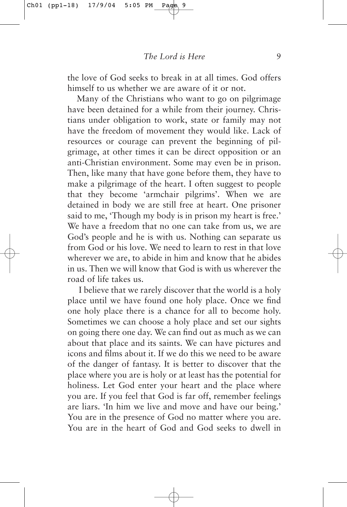the love of God seeks to break in at all times. God offers himself to us whether we are aware of it or not.

Many of the Christians who want to go on pilgrimage have been detained for a while from their journey. Christians under obligation to work, state or family may not have the freedom of movement they would like. Lack of resources or courage can prevent the beginning of pilgrimage, at other times it can be direct opposition or an anti-Christian environment. Some may even be in prison. Then, like many that have gone before them, they have to make a pilgrimage of the heart. I often suggest to people that they become 'armchair pilgrims'. When we are detained in body we are still free at heart. One prisoner said to me, 'Though my body is in prison my heart is free.' We have a freedom that no one can take from us, we are God's people and he is with us. Nothing can separate us from God or his love. We need to learn to rest in that love wherever we are, to abide in him and know that he abides in us. Then we will know that God is with us wherever the road of life takes us.

I believe that we rarely discover that the world is a holy place until we have found one holy place. Once we find one holy place there is a chance for all to become holy. Sometimes we can choose a holy place and set our sights on going there one day. We can find out as much as we can about that place and its saints. We can have pictures and icons and films about it. If we do this we need to be aware of the danger of fantasy. It is better to discover that the place where you are is holy or at least has the potential for holiness. Let God enter your heart and the place where you are. If you feel that God is far off, remember feelings are liars. 'In him we live and move and have our being.' You are in the presence of God no matter where you are. You are in the heart of God and God seeks to dwell in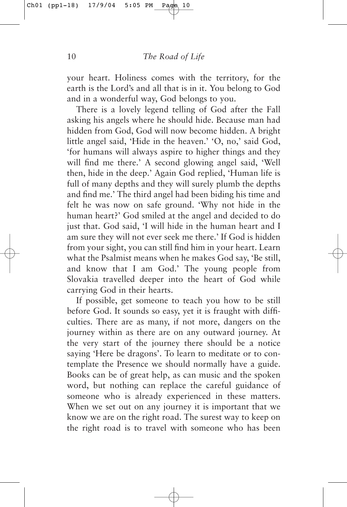your heart. Holiness comes with the territory, for the earth is the Lord's and all that is in it. You belong to God and in a wonderful way, God belongs to you.

There is a lovely legend telling of God after the Fall asking his angels where he should hide. Because man had hidden from God, God will now become hidden. A bright little angel said, 'Hide in the heaven.' 'O, no,' said God, 'for humans will always aspire to higher things and they will find me there.' A second glowing angel said, 'Well then, hide in the deep.' Again God replied, 'Human life is full of many depths and they will surely plumb the depths and find me.' The third angel had been biding his time and felt he was now on safe ground. 'Why not hide in the human heart?' God smiled at the angel and decided to do just that. God said, 'I will hide in the human heart and I am sure they will not ever seek me there.' If God is hidden from your sight, you can still find him in your heart. Learn what the Psalmist means when he makes God say, 'Be still, and know that I am God.' The young people from Slovakia travelled deeper into the heart of God while carrying God in their hearts.

If possible, get someone to teach you how to be still before God. It sounds so easy, yet it is fraught with difficulties. There are as many, if not more, dangers on the journey within as there are on any outward journey. At the very start of the journey there should be a notice saying 'Here be dragons'. To learn to meditate or to contemplate the Presence we should normally have a guide. Books can be of great help, as can music and the spoken word, but nothing can replace the careful guidance of someone who is already experienced in these matters. When we set out on any journey it is important that we know we are on the right road. The surest way to keep on the right road is to travel with someone who has been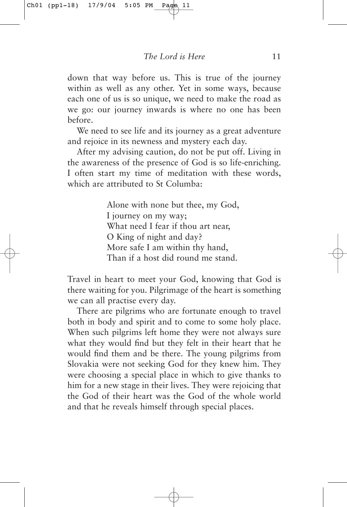down that way before us. This is true of the journey within as well as any other. Yet in some ways, because each one of us is so unique, we need to make the road as we go: our journey inwards is where no one has been before.

We need to see life and its journey as a great adventure and rejoice in its newness and mystery each day.

After my advising caution, do not be put off. Living in the awareness of the presence of God is so life-enriching. I often start my time of meditation with these words, which are attributed to St Columba:

> Alone with none but thee, my God, I journey on my way; What need I fear if thou art near, O King of night and day? More safe I am within thy hand, Than if a host did round me stand.

Travel in heart to meet your God, knowing that God is there waiting for you. Pilgrimage of the heart is something we can all practise every day.

There are pilgrims who are fortunate enough to travel both in body and spirit and to come to some holy place. When such pilgrims left home they were not always sure what they would find but they felt in their heart that he would find them and be there. The young pilgrims from Slovakia were not seeking God for they knew him. They were choosing a special place in which to give thanks to him for a new stage in their lives. They were rejoicing that the God of their heart was the God of the whole world and that he reveals himself through special places.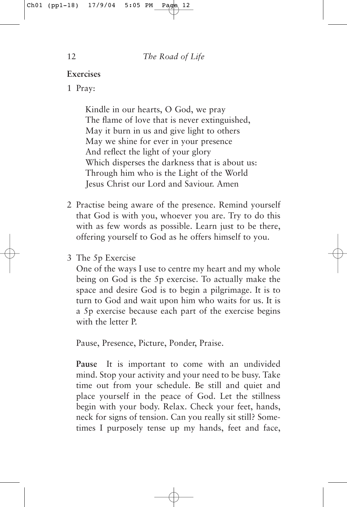## **Exercises**

1 Pray:

Kindle in our hearts, O God, we pray The flame of love that is never extinguished, May it burn in us and give light to others May we shine for ever in your presence And reflect the light of your glory Which disperses the darkness that is about us: Through him who is the Light of the World Jesus Christ our Lord and Saviour. Amen

2 Practise being aware of the presence. Remind yourself that God is with you, whoever you are. Try to do this with as few words as possible. Learn just to be there, offering yourself to God as he offers himself to you.

## 3 The 5p Exercise

One of the ways I use to centre my heart and my whole being on God is the 5p exercise. To actually make the space and desire God is to begin a pilgrimage. It is to turn to God and wait upon him who waits for us. It is a 5p exercise because each part of the exercise begins with the letter P.

Pause, Presence, Picture, Ponder, Praise.

**Pause** It is important to come with an undivided mind. Stop your activity and your need to be busy. Take time out from your schedule. Be still and quiet and place yourself in the peace of God. Let the stillness begin with your body. Relax. Check your feet, hands, neck for signs of tension. Can you really sit still? Sometimes I purposely tense up my hands, feet and face,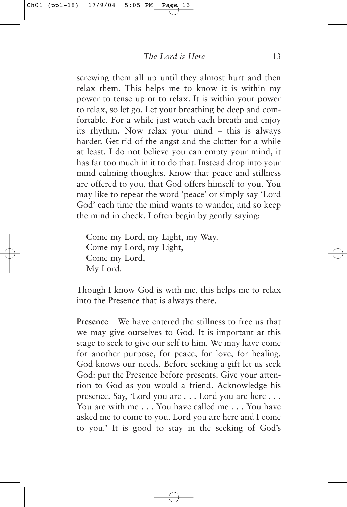screwing them all up until they almost hurt and then relax them. This helps me to know it is within my power to tense up or to relax. It is within your power to relax, so let go. Let your breathing be deep and comfortable. For a while just watch each breath and enjoy its rhythm. Now relax your mind – this is always harder. Get rid of the angst and the clutter for a while at least. I do not believe you can empty your mind, it has far too much in it to do that. Instead drop into your mind calming thoughts. Know that peace and stillness are offered to you, that God offers himself to you. You may like to repeat the word 'peace' or simply say 'Lord God' each time the mind wants to wander, and so keep the mind in check. I often begin by gently saying:

Come my Lord, my Light, my Way. Come my Lord, my Light, Come my Lord, My Lord.

Though I know God is with me, this helps me to relax into the Presence that is always there.

**Presence** We have entered the stillness to free us that we may give ourselves to God. It is important at this stage to seek to give our self to him. We may have come for another purpose, for peace, for love, for healing. God knows our needs. Before seeking a gift let us seek God: put the Presence before presents. Give your attention to God as you would a friend. Acknowledge his presence. Say, 'Lord you are . . . Lord you are here . . . You are with me . . . You have called me . . . You have asked me to come to you. Lord you are here and I come to you.' It is good to stay in the seeking of God's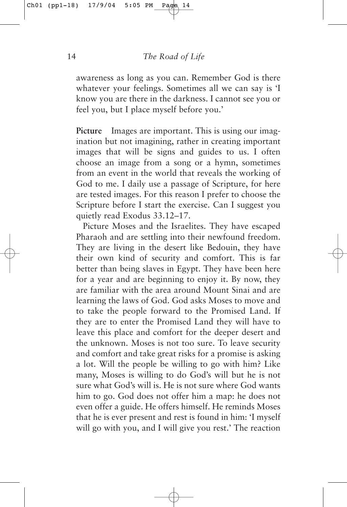awareness as long as you can. Remember God is there whatever your feelings. Sometimes all we can say is 'I know you are there in the darkness. I cannot see you or feel you, but I place myself before you.'

Picture Images are important. This is using our imagination but not imagining, rather in creating important images that will be signs and guides to us. I often choose an image from a song or a hymn, sometimes from an event in the world that reveals the working of God to me. I daily use a passage of Scripture, for here are tested images. For this reason I prefer to choose the Scripture before I start the exercise. Can I suggest you quietly read Exodus 33.12–17.

Picture Moses and the Israelites. They have escaped Pharaoh and are settling into their newfound freedom. They are living in the desert like Bedouin, they have their own kind of security and comfort. This is far better than being slaves in Egypt. They have been here for a year and are beginning to enjoy it. By now, they are familiar with the area around Mount Sinai and are learning the laws of God. God asks Moses to move and to take the people forward to the Promised Land. If they are to enter the Promised Land they will have to leave this place and comfort for the deeper desert and the unknown. Moses is not too sure. To leave security and comfort and take great risks for a promise is asking a lot. Will the people be willing to go with him? Like many, Moses is willing to do God's will but he is not sure what God's will is. He is not sure where God wants him to go. God does not offer him a map: he does not even offer a guide. He offers himself. He reminds Moses that he is ever present and rest is found in him: 'I myself will go with you, and I will give you rest.' The reaction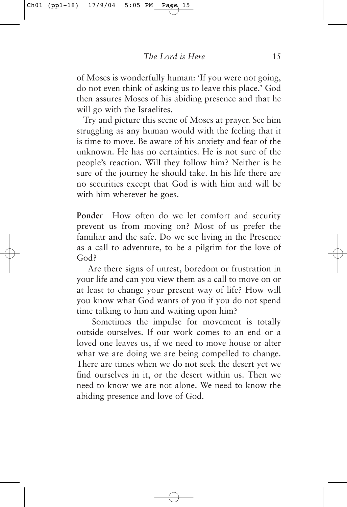of Moses is wonderfully human: 'If you were not going, do not even think of asking us to leave this place.' God then assures Moses of his abiding presence and that he will go with the Israelites.

Try and picture this scene of Moses at prayer. See him struggling as any human would with the feeling that it is time to move. Be aware of his anxiety and fear of the unknown. He has no certainties. He is not sure of the people's reaction. Will they follow him? Neither is he sure of the journey he should take. In his life there are no securities except that God is with him and will be with him wherever he goes.

**Ponder** How often do we let comfort and security prevent us from moving on? Most of us prefer the familiar and the safe. Do we see living in the Presence as a call to adventure, to be a pilgrim for the love of God?

Are there signs of unrest, boredom or frustration in your life and can you view them as a call to move on or at least to change your present way of life? How will you know what God wants of you if you do not spend time talking to him and waiting upon him?

Sometimes the impulse for movement is totally outside ourselves. If our work comes to an end or a loved one leaves us, if we need to move house or alter what we are doing we are being compelled to change. There are times when we do not seek the desert yet we find ourselves in it, or the desert within us. Then we need to know we are not alone. We need to know the abiding presence and love of God.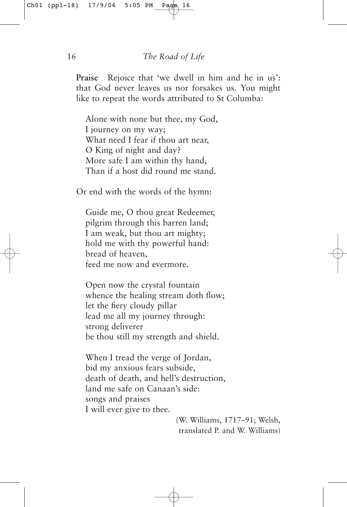**Praise** Rejoice that 'we dwell in him and he in us': that God never leaves us nor forsakes us. You might like to repeat the words attributed to St Columba:

Alone with none but thee, my God, I journey on my way; What need I fear if thou art near, O King of night and day? More safe I am within thy hand, Than if a host did round me stand.

Or end with the words of the hymn:

Guide me, O thou great Redeemer, pilgrim through this barren land; I am weak, but thou art mighty; hold me with thy powerful hand: bread of heaven, feed me now and evermore.

Open now the crystal fountain whence the healing stream doth flow; let the fiery cloudy pillar lead me all my journey through: strong deliverer be thou still my strength and shield.

When I tread the verge of Jordan, bid my anxious fears subside, death of death, and hell's destruction, land me safe on Canaan's side: songs and praises I will ever give to thee.

> (W. Williams, 1717–91; Welsh, translated P. and W. Williams)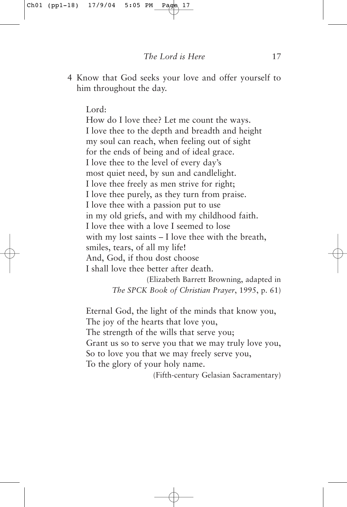4 Know that God seeks your love and offer yourself to him throughout the day.

Lord:

How do I love thee? Let me count the ways. I love thee to the depth and breadth and height my soul can reach, when feeling out of sight for the ends of being and of ideal grace. I love thee to the level of every day's most quiet need, by sun and candlelight. I love thee freely as men strive for right; I love thee purely, as they turn from praise. I love thee with a passion put to use in my old griefs, and with my childhood faith. I love thee with a love I seemed to lose with my lost saints – I love thee with the breath, smiles, tears, of all my life! And, God, if thou dost choose I shall love thee better after death. (Elizabeth Barrett Browning, adapted in

*The SPCK Book of Christian Prayer*, 1995, p. 61)

Eternal God, the light of the minds that know you, The joy of the hearts that love you, The strength of the wills that serve you; Grant us so to serve you that we may truly love you, So to love you that we may freely serve you, To the glory of your holy name.

(Fifth-century Gelasian Sacramentary)